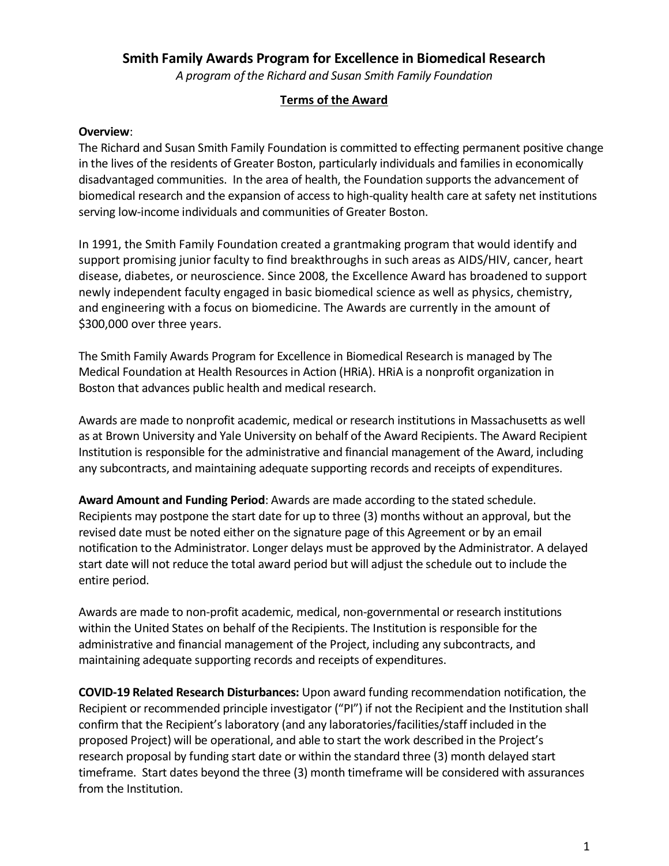## **Smith Family Awards Program for Excellence in Biomedical Research**

*A program of the Richard and Susan Smith Family Foundation*

## **Terms of the Award**

## **Overview**:

The Richard and Susan Smith Family Foundation is committed to effecting permanent positive change in the lives of the residents of Greater Boston, particularly individuals and families in economically disadvantaged communities. In the area of health, the Foundation supports the advancement of biomedical research and the expansion of access to high-quality health care at safety net institutions serving low-income individuals and communities of Greater Boston.

In 1991, the Smith Family Foundation created a grantmaking program that would identify and support promising junior faculty to find breakthroughs in such areas as AIDS/HIV, cancer, heart disease, diabetes, or neuroscience. Since 2008, the Excellence Award has broadened to support newly independent faculty engaged in basic biomedical science as well as physics, chemistry, and engineering with a focus on biomedicine. The Awards are currently in the amount of \$300,000 over three years.

The Smith Family Awards Program for Excellence in Biomedical Research is managed by The Medical Foundation at Health Resources in Action (HRiA). HRiA is a nonprofit organization in Boston that advances public health and medical research.

Awards are made to nonprofit academic, medical or research institutions in Massachusetts as well as at Brown University and Yale University on behalf of the Award Recipients. The Award Recipient Institution is responsible for the administrative and financial management of the Award, including any subcontracts, and maintaining adequate supporting records and receipts of expenditures.

**Award Amount and Funding Period**: Awards are made according to the stated schedule. Recipients may postpone the start date for up to three (3) months without an approval, but the revised date must be noted either on the signature page of this Agreement or by an email notification to the Administrator. Longer delays must be approved by the Administrator. A delayed start date will not reduce the total award period but will adjust the schedule out to include the entire period.

Awards are made to non-profit academic, medical, non-governmental or research institutions within the United States on behalf of the Recipients. The Institution is responsible for the administrative and financial management of the Project, including any subcontracts, and maintaining adequate supporting records and receipts of expenditures.

**COVID-19 Related Research Disturbances:** Upon award funding recommendation notification, the Recipient or recommended principle investigator ("PI") if not the Recipient and the Institution shall confirm that the Recipient's laboratory (and any laboratories/facilities/staff included in the proposed Project) will be operational, and able to start the work described in the Project's research proposal by funding start date or within the standard three (3) month delayed start timeframe. Start dates beyond the three (3) month timeframe will be considered with assurances from the Institution.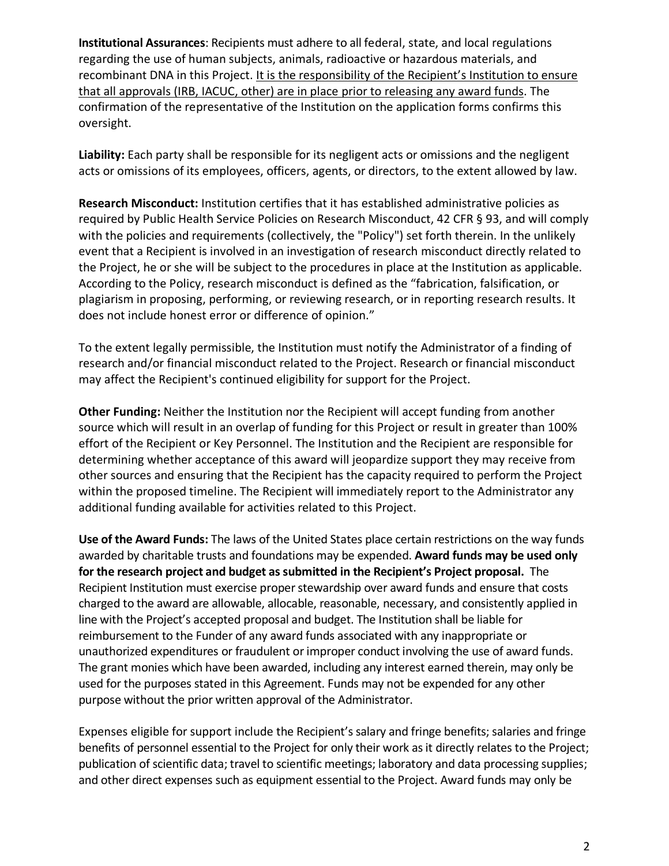**Institutional Assurances**: Recipients must adhere to all federal, state, and local regulations regarding the use of human subjects, animals, radioactive or hazardous materials, and recombinant DNA in this Project. It is the responsibility of the Recipient's Institution to ensure that all approvals (IRB, IACUC, other) are in place prior to releasing any award funds. The confirmation of the representative of the Institution on the application forms confirms this oversight.

**Liability:** Each party shall be responsible for its negligent acts or omissions and the negligent acts or omissions of its employees, officers, agents, or directors, to the extent allowed by law.

**Research Misconduct:** Institution certifies that it has established administrative policies as required by Public Health Service Policies on Research Misconduct, 42 CFR § 93, and will comply with the policies and requirements (collectively, the "Policy") set forth therein. In the unlikely event that a Recipient is involved in an investigation of research misconduct directly related to the Project, he or she will be subject to the procedures in place at the Institution as applicable. According to the Policy, research misconduct is defined as the "fabrication, falsification, or plagiarism in proposing, performing, or reviewing research, or in reporting research results. It does not include honest error or difference of opinion."

To the extent legally permissible, the Institution must notify the Administrator of a finding of research and/or financial misconduct related to the Project. Research or financial misconduct may affect the Recipient's continued eligibility for support for the Project.

**Other Funding:** Neither the Institution nor the Recipient will accept funding from another source which will result in an overlap of funding for this Project or result in greater than 100% effort of the Recipient or Key Personnel. The Institution and the Recipient are responsible for determining whether acceptance of this award will jeopardize support they may receive from other sources and ensuring that the Recipient has the capacity required to perform the Project within the proposed timeline. The Recipient will immediately report to the Administrator any additional funding available for activities related to this Project.

**Use of the Award Funds:** The laws of the United States place certain restrictions on the way funds awarded by charitable trusts and foundations may be expended. **Award funds may be used only for the research project and budget as submitted in the Recipient's Project proposal.** The Recipient Institution must exercise proper stewardship over award funds and ensure that costs charged to the award are allowable, allocable, reasonable, necessary, and consistently applied in line with the Project's accepted proposal and budget. The Institution shall be liable for reimbursement to the Funder of any award funds associated with any inappropriate or unauthorized expenditures or fraudulent or improper conduct involving the use of award funds. The grant monies which have been awarded, including any interest earned therein, may only be used for the purposes stated in this Agreement. Funds may not be expended for any other purpose without the prior written approval of the Administrator.

Expenses eligible for support include the Recipient's salary and fringe benefits; salaries and fringe benefits of personnel essential to the Project for only their work as it directly relates to the Project; publication of scientific data; travel to scientific meetings; laboratory and data processing supplies; and other direct expenses such as equipment essential to the Project. Award funds may only be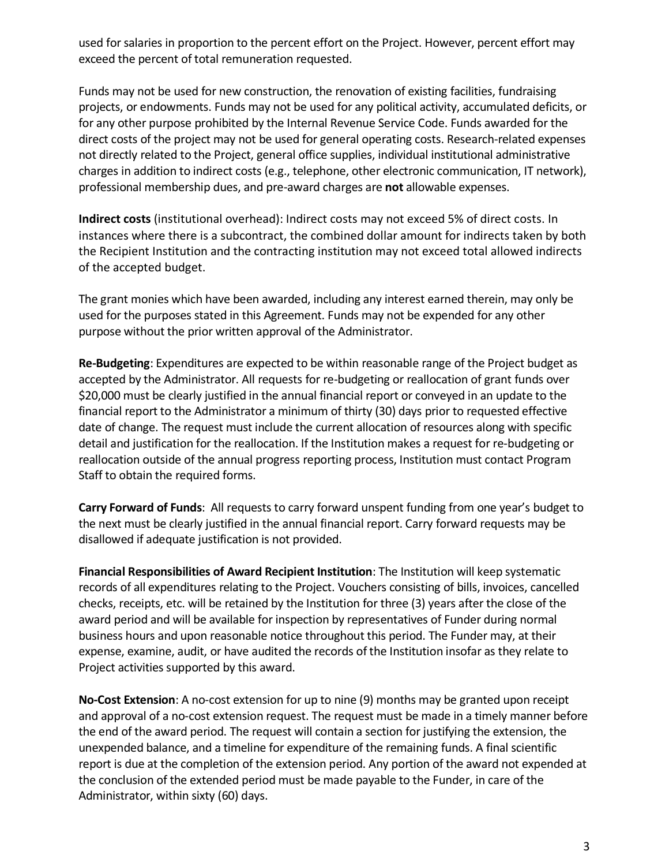used for salaries in proportion to the percent effort on the Project. However, percent effort may exceed the percent of total remuneration requested.

Funds may not be used for new construction, the renovation of existing facilities, fundraising projects, or endowments. Funds may not be used for any political activity, accumulated deficits, or for any other purpose prohibited by the Internal Revenue Service Code. Funds awarded for the direct costs of the project may not be used for general operating costs. Research-related expenses not directly related to the Project, general office supplies, individual institutional administrative charges in addition to indirect costs (e.g., telephone, other electronic communication, IT network), professional membership dues, and pre-award charges are **not** allowable expenses.

**Indirect costs** (institutional overhead): Indirect costs may not exceed 5% of direct costs. In instances where there is a subcontract, the combined dollar amount for indirects taken by both the Recipient Institution and the contracting institution may not exceed total allowed indirects of the accepted budget.

The grant monies which have been awarded, including any interest earned therein, may only be used for the purposes stated in this Agreement. Funds may not be expended for any other purpose without the prior written approval of the Administrator.

**Re-Budgeting**: Expenditures are expected to be within reasonable range of the Project budget as accepted by the Administrator. All requests for re-budgeting or reallocation of grant funds over \$20,000 must be clearly justified in the annual financial report or conveyed in an update to the financial report to the Administrator a minimum of thirty (30) days prior to requested effective date of change. The request must include the current allocation of resources along with specific detail and justification for the reallocation. If the Institution makes a request for re-budgeting or reallocation outside of the annual progress reporting process, Institution must contact Program Staff to obtain the required forms.

**Carry Forward of Funds**: All requests to carry forward unspent funding from one year's budget to the next must be clearly justified in the annual financial report. Carry forward requests may be disallowed if adequate justification is not provided.

**Financial Responsibilities of Award Recipient Institution**: The Institution will keep systematic records of all expenditures relating to the Project. Vouchers consisting of bills, invoices, cancelled checks, receipts, etc. will be retained by the Institution for three (3) years after the close of the award period and will be available for inspection by representatives of Funder during normal business hours and upon reasonable notice throughout this period. The Funder may, at their expense, examine, audit, or have audited the records of the Institution insofar as they relate to Project activities supported by this award.

**No-Cost Extension**: A no-cost extension for up to nine (9) months may be granted upon receipt and approval of a no-cost extension request. The request must be made in a timely manner before the end of the award period. The request will contain a section for justifying the extension, the unexpended balance, and a timeline for expenditure of the remaining funds. A final scientific report is due at the completion of the extension period. Any portion of the award not expended at the conclusion of the extended period must be made payable to the Funder, in care of the Administrator, within sixty (60) days.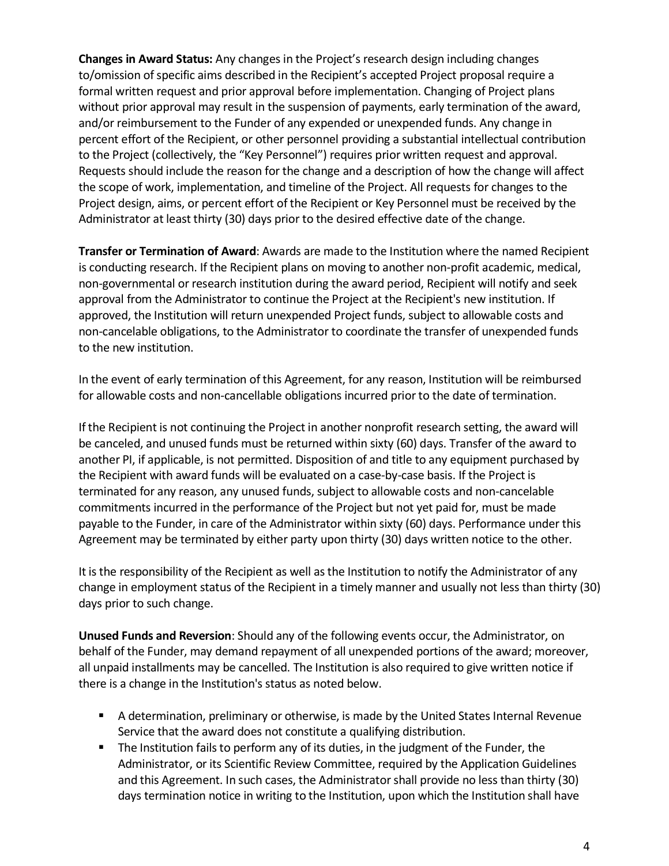**Changes in Award Status:** Any changes in the Project's research design including changes to/omission of specific aims described in the Recipient's accepted Project proposal require a formal written request and prior approval before implementation. Changing of Project plans without prior approval may result in the suspension of payments, early termination of the award, and/or reimbursement to the Funder of any expended or unexpended funds. Any change in percent effort of the Recipient, or other personnel providing a substantial intellectual contribution to the Project (collectively, the "Key Personnel") requires prior written request and approval. Requests should include the reason for the change and a description of how the change will affect the scope of work, implementation, and timeline of the Project. All requests for changes to the Project design, aims, or percent effort of the Recipient or Key Personnel must be received by the Administrator at least thirty (30) days prior to the desired effective date of the change.

**Transfer or Termination of Award**: Awards are made to the Institution where the named Recipient is conducting research. If the Recipient plans on moving to another non-profit academic, medical, non-governmental or research institution during the award period, Recipient will notify and seek approval from the Administrator to continue the Project at the Recipient's new institution. If approved, the Institution will return unexpended Project funds, subject to allowable costs and non-cancelable obligations, to the Administrator to coordinate the transfer of unexpended funds to the new institution.

In the event of early termination of this Agreement, for any reason, Institution will be reimbursed for allowable costs and non-cancellable obligations incurred prior to the date of termination.

If the Recipient is not continuing the Project in another nonprofit research setting, the award will be canceled, and unused funds must be returned within sixty (60) days. Transfer of the award to another PI, if applicable, is not permitted. Disposition of and title to any equipment purchased by the Recipient with award funds will be evaluated on a case-by-case basis. If the Project is terminated for any reason, any unused funds, subject to allowable costs and non-cancelable commitments incurred in the performance of the Project but not yet paid for, must be made payable to the Funder, in care of the Administrator within sixty (60) days. Performance under this Agreement may be terminated by either party upon thirty (30) days written notice to the other.

It is the responsibility of the Recipient as well as the Institution to notify the Administrator of any change in employment status of the Recipient in a timely manner and usually not less than thirty (30) days prior to such change.

**Unused Funds and Reversion**: Should any of the following events occur, the Administrator, on behalf of the Funder, may demand repayment of all unexpended portions of the award; moreover, all unpaid installments may be cancelled. The Institution is also required to give written notice if there is a change in the Institution's status as noted below.

- A determination, preliminary or otherwise, is made by the United States Internal Revenue Service that the award does not constitute a qualifying distribution.
- **The Institution fails to perform any of its duties, in the judgment of the Funder, the** Administrator, or its Scientific Review Committee, required by the Application Guidelines and this Agreement. In such cases, the Administrator shall provide no less than thirty (30) days termination notice in writing to the Institution, upon which the Institution shall have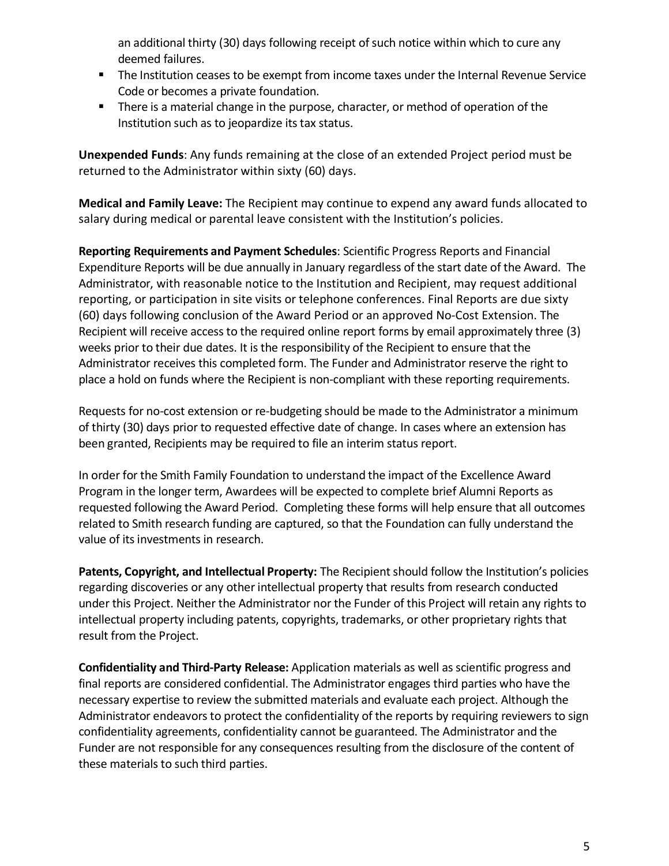an additional thirty (30) days following receipt of such notice within which to cure any deemed failures.

- **The Institution ceases to be exempt from income taxes under the Internal Revenue Service** Code or becomes a private foundation.
- **There is a material change in the purpose, character, or method of operation of the** Institution such as to jeopardize its tax status.

**Unexpended Funds**: Any funds remaining at the close of an extended Project period must be returned to the Administrator within sixty (60) days.

**Medical and Family Leave:** The Recipient may continue to expend any award funds allocated to salary during medical or parental leave consistent with the Institution's policies.

**Reporting Requirements and Payment Schedules**: Scientific Progress Reports and Financial Expenditure Reports will be due annually in January regardless of the start date of the Award. The Administrator, with reasonable notice to the Institution and Recipient, may request additional reporting, or participation in site visits or telephone conferences. Final Reports are due sixty (60) days following conclusion of the Award Period or an approved No-Cost Extension. The Recipient will receive access to the required online report forms by email approximately three (3) weeks prior to their due dates. It is the responsibility of the Recipient to ensure that the Administrator receives this completed form. The Funder and Administrator reserve the right to place a hold on funds where the Recipient is non-compliant with these reporting requirements.

Requests for no-cost extension or re-budgeting should be made to the Administrator a minimum of thirty (30) days prior to requested effective date of change. In cases where an extension has been granted, Recipients may be required to file an interim status report.

In order for the Smith Family Foundation to understand the impact of the Excellence Award Program in the longer term, Awardees will be expected to complete brief Alumni Reports as requested following the Award Period. Completing these forms will help ensure that all outcomes related to Smith research funding are captured, so that the Foundation can fully understand the value of its investments in research.

**Patents, Copyright, and Intellectual Property:** The Recipient should follow the Institution's policies regarding discoveries or any other intellectual property that results from research conducted under this Project. Neither the Administrator nor the Funder of this Project will retain any rights to intellectual property including patents, copyrights, trademarks, or other proprietary rights that result from the Project.

**Confidentiality and Third-Party Release:** Application materials as well as scientific progress and final reports are considered confidential. The Administrator engages third parties who have the necessary expertise to review the submitted materials and evaluate each project. Although the Administrator endeavors to protect the confidentiality of the reports by requiring reviewers to sign confidentiality agreements, confidentiality cannot be guaranteed. The Administrator and the Funder are not responsible for any consequences resulting from the disclosure of the content of these materials to such third parties.